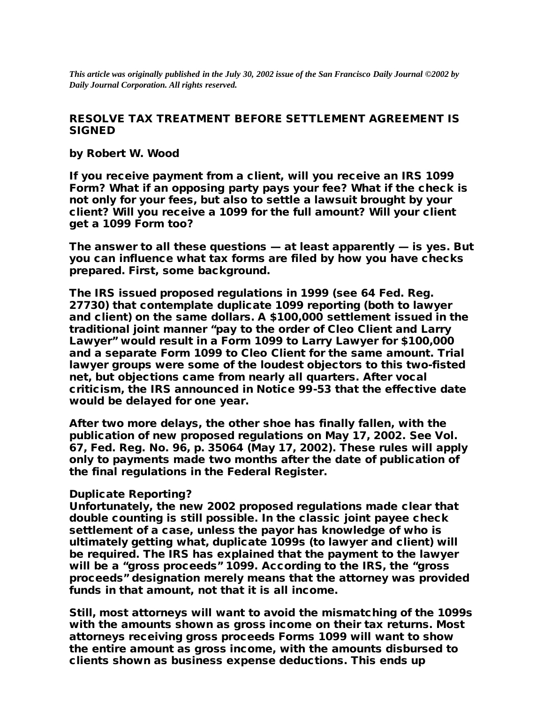*This article was originally published in the July 30, 2002 issue of the San Francisco Daily Journal ©2002 by Daily Journal Corporation. All rights reserved.*

## RESOLVE TAX TREATMENT BEFORE SETTLEMENT AGREEMENT IS SIGNED

by Robert W. Wood

If you receive payment from a client, will you receive an IRS 1099 Form? What if an opposing party pays your fee? What if the check is not only for your fees, but also to settle a lawsuit brought by your client? Will you receive a 1099 for the full amount? Will your client get a 1099 Form too?

The answer to all these questions — at least apparently — is yes. But you can influence what tax forms are filed by how you have checks prepared. First, some background.

The IRS issued proposed regulations in 1999 (see 64 Fed. Reg. 27730) that contemplate duplicate 1099 reporting (both to lawyer and client) on the same dollars. A \$100,000 settlement issued in the traditional joint manner "pay to the order of Cleo Client and Larry Lawyer" would result in a Form 1099 to Larry Lawyer for \$100,000 and a separate Form 1099 to Cleo Client for the same amount. Trial lawyer groups were some of the loudest objectors to this two-fisted net, but objections came from nearly all quarters. After vocal criticism, the IRS announced in Notice 99-53 that the effective date would be delayed for one year.

After two more delays, the other shoe has finally fallen, with the publication of new proposed regulations on May 17, 2002. See Vol. 67, Fed. Reg. No. 96, p. 35064 (May 17, 2002). These rules will apply only to payments made two months after the date of publication of the final regulations in the Federal Register.

## Duplicate Reporting?

Unfortunately, the new 2002 proposed regulations made clear that double counting is still possible. In the classic joint payee check settlement of a case, unless the payor has knowledge of who is ultimately getting what, duplicate 1099s (to lawyer and client) will be required. The IRS has explained that the payment to the lawyer will be a "gross proceeds" 1099. According to the IRS, the "gross proceeds" designation merely means that the attorney was provided funds in that amount, not that it is all income.

Still, most attorneys will want to avoid the mismatching of the 1099s with the amounts shown as gross income on their tax returns. Most attorneys receiving gross proceeds Forms 1099 will want to show the entire amount as gross income, with the amounts disbursed to clients shown as business expense deductions. This ends up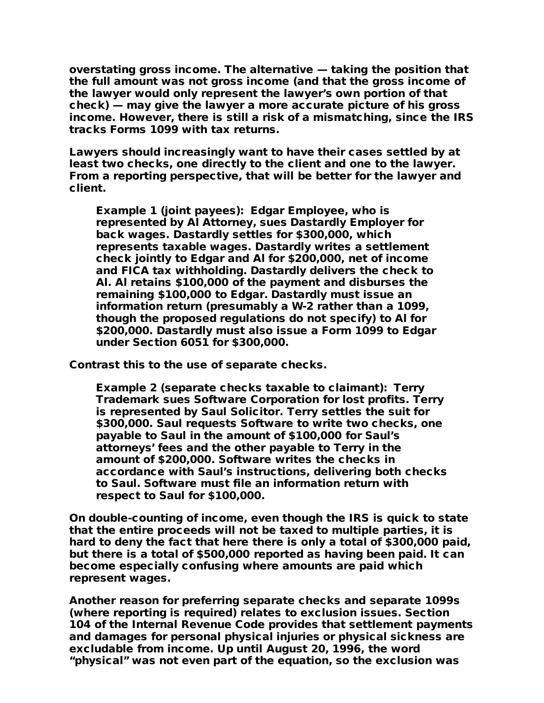overstating gross income. The alternative — taking the position that the full amount was not gross income (and that the gross income of the lawyer would only represent the lawyer's own portion of that check) — may give the lawyer a more accurate picture of his gross income. However, there is still a risk of a mismatching, since the IRS tracks Forms 1099 with tax returns.

Lawyers should increasingly want to have their cases settled by at least two checks, one directly to the client and one to the lawyer. From a reporting perspective, that will be better for the lawyer and client.

Example 1 (joint payees): Edgar Employee, who is represented by Al Attorney, sues Dastardly Employer for back wages. Dastardly settles for \$300,000, which represents taxable wages. Dastardly writes a settlement check jointly to Edgar and Al for \$200,000, net of income and FICA tax withholding. Dastardly delivers the check to Al. Al retains \$100,000 of the payment and disburses the remaining \$100,000 to Edgar. Dastardly must issue an information return (presumably a W-2 rather than a 1099, though the proposed regulations do not specify) to Al for \$200,000. Dastardly must also issue a Form 1099 to Edgar under Section 6051 for \$300,000.

Contrast this to the use of separate checks.

Example 2 (separate checks taxable to claimant): Terry Trademark sues Software Corporation for lost profits. Terry is represented by Saul Solicitor. Terry settles the suit for \$300,000. Saul requests Software to write two checks, one payable to Saul in the amount of \$100,000 for Saul's attorneys' fees and the other payable to Terry in the amount of \$200,000. Software writes the checks in accordance with Saul's instructions, delivering both checks to Saul. Software must file an information return with respect to Saul for \$100,000.

On double-counting of income, even though the IRS is quick to state that the entire proceeds will not be taxed to multiple parties, it is hard to deny the fact that here there is only a total of \$300,000 paid, but there is a total of \$500,000 reported as having been paid. It can become especially confusing where amounts are paid which represent wages.

Another reason for preferring separate checks and separate 1099s (where reporting is required) relates to exclusion issues. Section 104 of the Internal Revenue Code provides that settlement payments and damages for personal physical injuries or physical sickness are excludable from income. Up until August 20, 1996, the word "physical" was not even part of the equation, so the exclusion was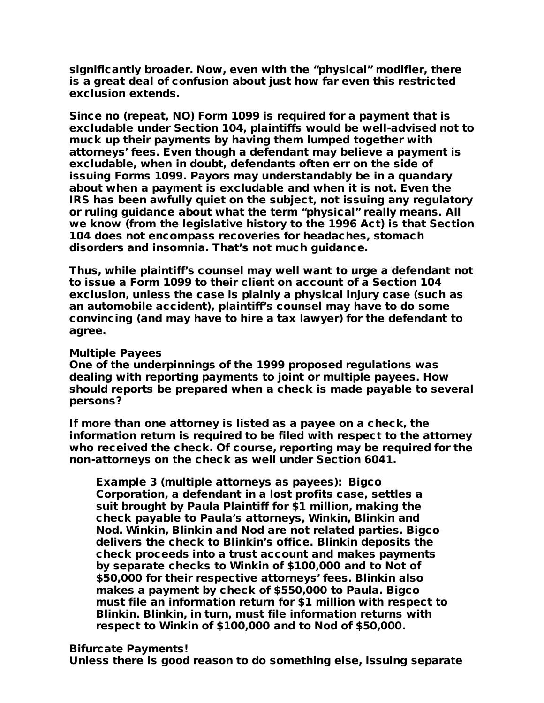significantly broader. Now, even with the "physical" modifier, there is a great deal of confusion about just how far even this restricted exclusion extends.

Since no (repeat, NO) Form 1099 is required for a payment that is excludable under Section 104, plaintiffs would be well-advised not to muck up their payments by having them lumped together with attorneys' fees. Even though a defendant may believe a payment is excludable, when in doubt, defendants often err on the side of issuing Forms 1099. Payors may understandably be in a quandary about when a payment is excludable and when it is not. Even the IRS has been awfully quiet on the subject, not issuing any regulatory or ruling guidance about what the term "physical" really means. All we know (from the legislative history to the 1996 Act) is that Section 104 does not encompass recoveries for headaches, stomach disorders and insomnia. That's not much guidance.

Thus, while plaintiff's counsel may well want to urge a defendant not to issue a Form 1099 to their client on account of a Section 104 exclusion, unless the case is plainly a physical injury case (such as an automobile accident), plaintiff's counsel may have to do some convincing (and may have to hire a tax lawyer) for the defendant to agree.

## Multiple Payees

One of the underpinnings of the 1999 proposed regulations was dealing with reporting payments to joint or multiple payees. How should reports be prepared when a check is made payable to several persons?

If more than one attorney is listed as a payee on a check, the information return is required to be filed with respect to the attorney who received the check. Of course, reporting may be required for the non-attorneys on the check as well under Section 6041.

Example 3 (multiple attorneys as payees): Bigco Corporation, a defendant in a lost profits case, settles a suit brought by Paula Plaintiff for \$1 million, making the check payable to Paula's attorneys, Winkin, Blinkin and Nod. Winkin, Blinkin and Nod are not related parties. Bigco delivers the check to Blinkin's office. Blinkin deposits the check proceeds into a trust account and makes payments by separate checks to Winkin of \$100,000 and to Not of \$50,000 for their respective attorneys' fees. Blinkin also makes a payment by check of \$550,000 to Paula. Bigco must file an information return for \$1 million with respect to Blinkin. Blinkin, in turn, must file information returns with respect to Winkin of \$100,000 and to Nod of \$50,000.

## Bifurcate Payments!

Unless there is good reason to do something else, issuing separate